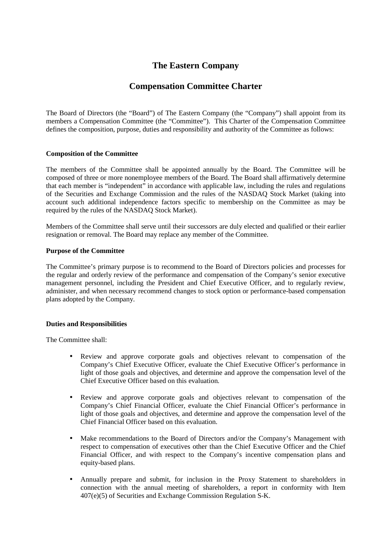# **The Eastern Company**

# **Compensation Committee Charter**

The Board of Directors (the "Board") of The Eastern Company (the "Company") shall appoint from its members a Compensation Committee (the "Committee"). This Charter of the Compensation Committee defines the composition, purpose, duties and responsibility and authority of the Committee as follows:

## **Composition of the Committee**

The members of the Committee shall be appointed annually by the Board. The Committee will be composed of three or more nonemployee members of the Board. The Board shall affirmatively determine that each member is "independent" in accordance with applicable law, including the rules and regulations of the Securities and Exchange Commission and the rules of the NASDAQ Stock Market (taking into account such additional independence factors specific to membership on the Committee as may be required by the rules of the NASDAQ Stock Market).

Members of the Committee shall serve until their successors are duly elected and qualified or their earlier resignation or removal. The Board may replace any member of the Committee.

#### **Purpose of the Committee**

The Committee's primary purpose is to recommend to the Board of Directors policies and processes for the regular and orderly review of the performance and compensation of the Company's senior executive management personnel, including the President and Chief Executive Officer, and to regularly review, administer, and when necessary recommend changes to stock option or performance-based compensation plans adopted by the Company.

## **Duties and Responsibilities**

The Committee shall:

- Review and approve corporate goals and objectives relevant to compensation of the Company's Chief Executive Officer, evaluate the Chief Executive Officer's performance in light of those goals and objectives, and determine and approve the compensation level of the Chief Executive Officer based on this evaluation.
- Review and approve corporate goals and objectives relevant to compensation of the Company's Chief Financial Officer, evaluate the Chief Financial Officer's performance in light of those goals and objectives, and determine and approve the compensation level of the Chief Financial Officer based on this evaluation.
- Make recommendations to the Board of Directors and/or the Company's Management with respect to compensation of executives other than the Chief Executive Officer and the Chief Financial Officer, and with respect to the Company's incentive compensation plans and equity-based plans.
- Annually prepare and submit, for inclusion in the Proxy Statement to shareholders in connection with the annual meeting of shareholders, a report in conformity with Item 407(e)(5) of Securities and Exchange Commission Regulation S-K.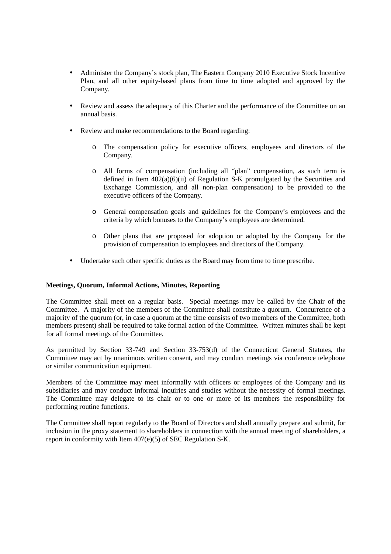- Administer the Company's stock plan, The Eastern Company 2010 Executive Stock Incentive Plan, and all other equity-based plans from time to time adopted and approved by the Company.
- Review and assess the adequacy of this Charter and the performance of the Committee on an annual basis.
- Review and make recommendations to the Board regarding:
	- o The compensation policy for executive officers, employees and directors of the Company.
	- o All forms of compensation (including all "plan" compensation, as such term is defined in Item  $402(a)(6)(ii)$  of Regulation S-K promulgated by the Securities and Exchange Commission, and all non-plan compensation) to be provided to the executive officers of the Company.
	- o General compensation goals and guidelines for the Company's employees and the criteria by which bonuses to the Company's employees are determined.
	- o Other plans that are proposed for adoption or adopted by the Company for the provision of compensation to employees and directors of the Company.
- Undertake such other specific duties as the Board may from time to time prescribe.

### **Meetings, Quorum, Informal Actions, Minutes, Reporting**

The Committee shall meet on a regular basis. Special meetings may be called by the Chair of the Committee. A majority of the members of the Committee shall constitute a quorum. Concurrence of a majority of the quorum (or, in case a quorum at the time consists of two members of the Committee, both members present) shall be required to take formal action of the Committee. Written minutes shall be kept for all formal meetings of the Committee.

As permitted by Section 33-749 and Section 33-753(d) of the Connecticut General Statutes, the Committee may act by unanimous written consent, and may conduct meetings via conference telephone or similar communication equipment.

Members of the Committee may meet informally with officers or employees of the Company and its subsidiaries and may conduct informal inquiries and studies without the necessity of formal meetings. The Committee may delegate to its chair or to one or more of its members the responsibility for performing routine functions.

The Committee shall report regularly to the Board of Directors and shall annually prepare and submit, for inclusion in the proxy statement to shareholders in connection with the annual meeting of shareholders, a report in conformity with Item 407(e)(5) of SEC Regulation S-K.